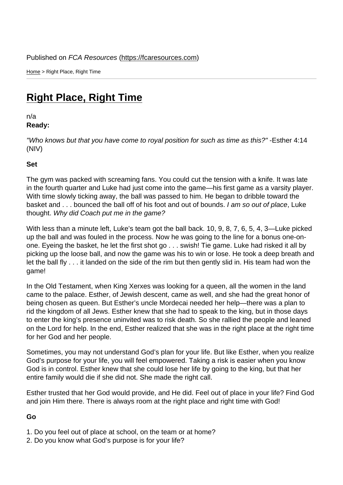Home > Right Place, Right Time

## [Rig](https://fcaresources.com/)ht Place, Right Time

n/a [Ready:](https://fcaresources.com/devotional/right-place-right-time) 

"Who knows but that you have come to royal position for such as time as this?" -Esther 4:14 (NIV)

Set

The gym was packed with screaming fans. You could cut the tension with a knife. It was late in the fourth quarter and Luke had just come into the game—his first game as a varsity player. With time slowly ticking away, the ball was passed to him. He began to dribble toward the basket and . . . bounced the ball off of his foot and out of bounds. I am so out of place, Luke thought. Why did Coach put me in the game?

With less than a minute left, Luke's team got the ball back. 10, 9, 8, 7, 6, 5, 4, 3—Luke picked up the ball and was fouled in the process. Now he was going to the line for a bonus one-onone. Eyeing the basket, he let the first shot go . . . swish! Tie game. Luke had risked it all by picking up the loose ball, and now the game was his to win or lose. He took a deep breath and let the ball fly . . . it landed on the side of the rim but then gently slid in. His team had won the game!

In the Old Testament, when King Xerxes was looking for a queen, all the women in the land came to the palace. Esther, of Jewish descent, came as well, and she had the great honor of being chosen as queen. But Esther's uncle Mordecai needed her help—there was a plan to rid the kingdom of all Jews. Esther knew that she had to speak to the king, but in those days to enter the king's presence uninvited was to risk death. So she rallied the people and leaned on the Lord for help. In the end, Esther realized that she was in the right place at the right time for her God and her people.

Sometimes, you may not understand God's plan for your life. But like Esther, when you realize God's purpose for your life, you will feel empowered. Taking a risk is easier when you know God is in control. Esther knew that she could lose her life by going to the king, but that her entire family would die if she did not. She made the right call.

Esther trusted that her God would provide, and He did. Feel out of place in your life? Find God and join Him there. There is always room at the right place and right time with God!

Go

- 1. Do you feel out of place at school, on the team or at home?
- 2. Do you know what God's purpose is for your life?